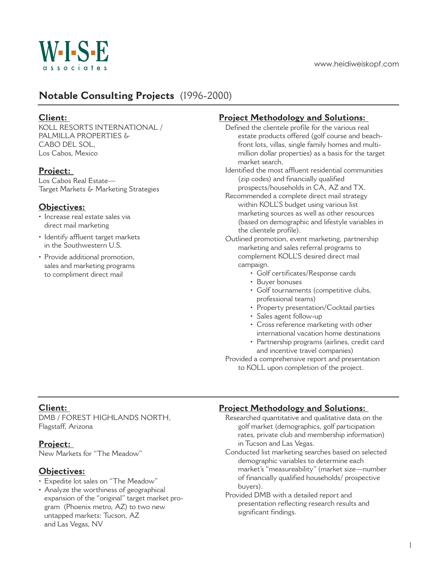

# **Notable Consulting Projects** (1996-2000)

#### **Client:**

KOLL RESORTS INTERNATIONAL / PALMILLA PROPERTIES & CABO DEL SOL, Los Cabos, Mexico

# **Project:**

Los Cabos Real Estate— Target Markets & Marketing Strategies

# **Objectives:**

- Increase real estate sales via direct mail marketing
- Identify affluent target markets in the Southwestern U.S.
- Provide additional promotion, sales and marketing programs to compliment direct mail

# **Project Methodology and Solutions:**

- Defined the clientele profile for the various real estate products offered (golf course and beachfront lots, villas, single family homes and multimillion dollar properties) as a basis for the target market search.
- Identified the most affluent residential communities (zip codes) and financially qualified prospects/households in CA, AZ and TX.
- Recommended a complete direct mail strategy within KOLL'S budget using various list marketing sources as well as other resources (based on demographic and lifestyle variables in the clientele profile).
- Outlined promotion, event marketing, partnership marketing and sales referral programs to complement KOLL'S desired direct mail campaign.
	- Golf certificates/Response cards
	- Buyer bonuses
	- Golf tournaments (competitive clubs, professional teams)
	- Property presentation/Cocktail parties
	- Sales agent follow-up
	- Cross reference marketing with other international vacation home destinations
	- Partnership programs (airlines, credit card and incentive travel companies)

Provided a comprehensive report and presentation to KOLL upon completion of the project.

# **Client:**

DMB / FOREST HIGHLANDS NORTH, Flagstaff, Arizona

# **Project:**

New Markets for "The Meadow"

#### **Objectives:**

- Expedite lot sales on "The Meadow"
- Analyze the worthiness of geographical expansion of the "original" target market program (Phoenix metro, AZ) to two new untapped markets: Tucson, AZ and Las Vegas, NV

# **Project Methodology and Solutions:**

- Researched quantitative and qualitative data on the golf market (demographics, golf participation rates, private club and membership information) in Tucson and Las Vegas.
- Conducted list marketing searches based on selected demographic variables to determine each market's "measureability" (market size—number of financially qualified households/ prospective buyers).
- Provided DMB with a detailed report and presentation reflecting research results and significant findings.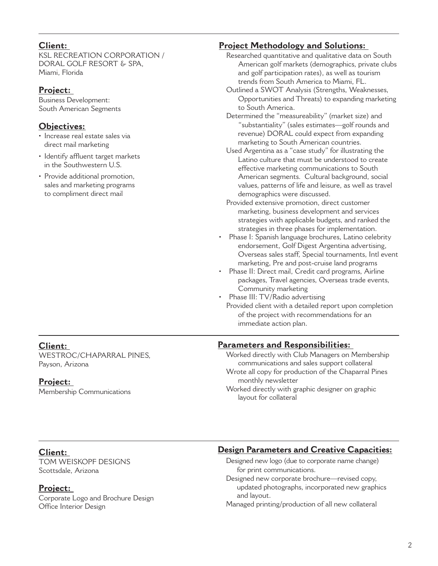#### **Client:**

KSL RECREATION CORPORATION / DORAL GOLF RESORT & SPA, Miami, Florida

# **Project:**

Business Development: South American Segments

# **Objectives:**

- Increase real estate sales via direct mail marketing
- Identify affluent target markets in the Southwestern U.S.
- Provide additional promotion, sales and marketing programs to compliment direct mail

# **Project Methodology and Solutions:**

- Researched quantitative and qualitative data on South American golf markets (demographics, private clubs and golf participation rates), as well as tourism trends from South America to Miami, FL.
- Outlined a SWOT Analysis (Strengths, Weaknesses, Opportunities and Threats) to expanding marketing to South America.
- Determined the "measureability" (market size) and "substantiality" (sales estimates—golf rounds and revenue) DORAL could expect from expanding marketing to South American countries.
- Used Argentina as a "case study" for illustrating the Latino culture that must be understood to create effective marketing communications to South American segments. Cultural background, social values, patterns of life and leisure, as well as travel demographics were discussed.
- Provided extensive promotion, direct customer marketing, business development and services strategies with applicable budgets, and ranked the strategies in three phases for implementation.
- Phase I: Spanish language brochures, Latino celebrity endorsement, Golf Digest Argentina advertising, Overseas sales staff, Special tournaments, Intl event marketing, Pre and post-cruise land programs
- Phase II: Direct mail, Credit card programs, Airline packages, Travel agencies, Overseas trade events, Community marketing
- Phase III: TV/Radio advertising
	- Provided client with a detailed report upon completion of the project with recommendations for an immediate action plan.

# **Parameters and Responsibilities:**

Worked directly with Club Managers on Membership communications and sales support collateral Wrote all copy for production of the Chaparral Pines monthly newsletter

Worked directly with graphic designer on graphic layout for collateral

#### **Client:** WESTROC/CHAPARRAL PINES, Payson, Arizona

# **Project:**

Membership Communications

# **Client:**

TOM WEISKOPF DESIGNS Scottsdale, Arizona

# **Project:**

Corporate Logo and Brochure Design Office Interior Design

# **Design Parameters and Creative Capacities:**

- Designed new logo (due to corporate name change) for print communications.
- Designed new corporate brochure—revised copy, updated photographs, incorporated new graphics and layout.
- Managed printing/production of all new collateral